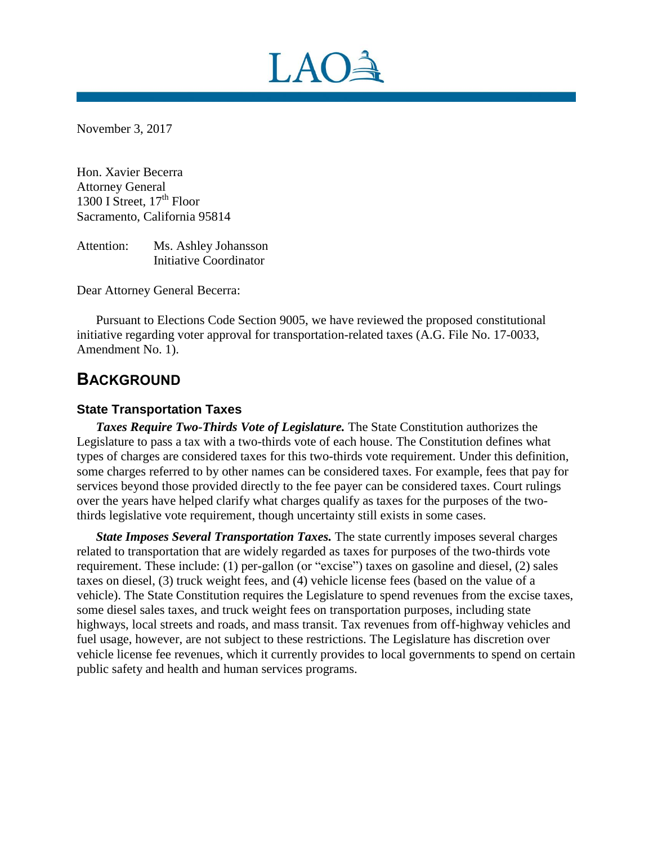

November 3, 2017

Hon. Xavier Becerra Attorney General 1300 I Street,  $17<sup>th</sup>$  Floor Sacramento, California 95814

Attention: Ms. Ashley Johansson Initiative Coordinator

Dear Attorney General Becerra:

Pursuant to Elections Code Section 9005, we have reviewed the proposed constitutional initiative regarding voter approval for transportation-related taxes (A.G. File No. 17-0033, Amendment No. 1).

## **BACKGROUND**

### **State Transportation Taxes**

*Taxes Require Two-Thirds Vote of Legislature.* The State Constitution authorizes the Legislature to pass a tax with a two-thirds vote of each house. The Constitution defines what types of charges are considered taxes for this two-thirds vote requirement. Under this definition, some charges referred to by other names can be considered taxes. For example, fees that pay for services beyond those provided directly to the fee payer can be considered taxes. Court rulings over the years have helped clarify what charges qualify as taxes for the purposes of the twothirds legislative vote requirement, though uncertainty still exists in some cases.

*State Imposes Several Transportation Taxes.* The state currently imposes several charges related to transportation that are widely regarded as taxes for purposes of the two-thirds vote requirement. These include: (1) per-gallon (or "excise") taxes on gasoline and diesel, (2) sales taxes on diesel, (3) truck weight fees, and (4) vehicle license fees (based on the value of a vehicle). The State Constitution requires the Legislature to spend revenues from the excise taxes, some diesel sales taxes, and truck weight fees on transportation purposes, including state highways, local streets and roads, and mass transit. Tax revenues from off-highway vehicles and fuel usage, however, are not subject to these restrictions. The Legislature has discretion over vehicle license fee revenues, which it currently provides to local governments to spend on certain public safety and health and human services programs.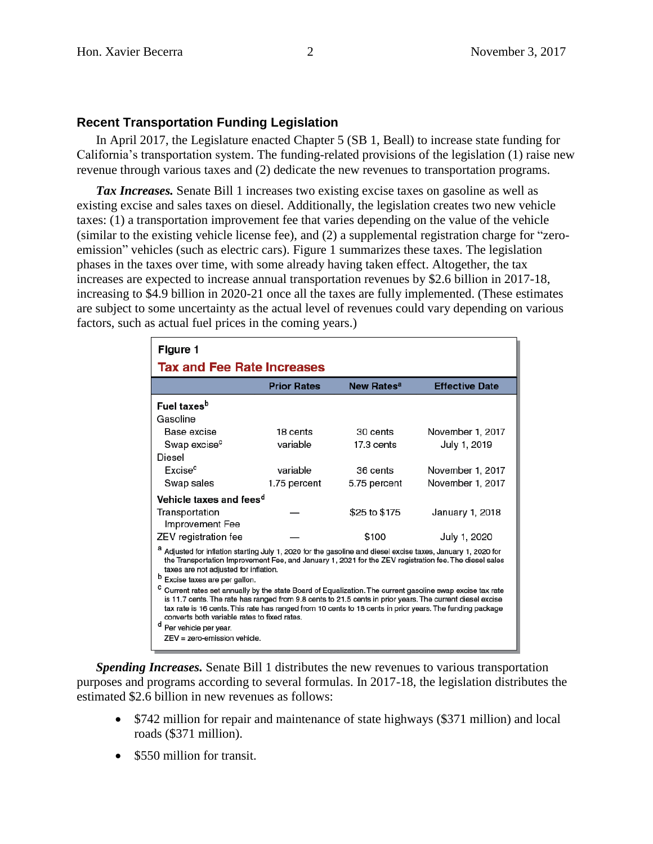#### **Recent Transportation Funding Legislation**

In April 2017, the Legislature enacted Chapter 5 (SB 1, Beall) to increase state funding for California's transportation system. The funding-related provisions of the legislation (1) raise new revenue through various taxes and (2) dedicate the new revenues to transportation programs.

*Tax Increases.* Senate Bill 1 increases two existing excise taxes on gasoline as well as existing excise and sales taxes on diesel. Additionally, the legislation creates two new vehicle taxes: (1) a transportation improvement fee that varies depending on the value of the vehicle (similar to the existing vehicle license fee), and (2) a supplemental registration charge for "zeroemission" vehicles (such as electric cars). Figure 1 summarizes these taxes. The legislation phases in the taxes over time, with some already having taken effect. Altogether, the tax increases are expected to increase annual transportation revenues by \$2.6 billion in 2017-18, increasing to \$4.9 billion in 2020-21 once all the taxes are fully implemented. (These estimates are subject to some uncertainty as the actual level of revenues could vary depending on various factors, such as actual fuel prices in the coming years.)

| Figure 1                                                                                                                                                                                                                                                                                                                                                                               |                    |                        |                       |
|----------------------------------------------------------------------------------------------------------------------------------------------------------------------------------------------------------------------------------------------------------------------------------------------------------------------------------------------------------------------------------------|--------------------|------------------------|-----------------------|
| Tax and Fee Rate Increases                                                                                                                                                                                                                                                                                                                                                             |                    |                        |                       |
|                                                                                                                                                                                                                                                                                                                                                                                        | <b>Prior Rates</b> | New Rates <sup>a</sup> | <b>Effective Date</b> |
| Fuel taxes <sup>b</sup>                                                                                                                                                                                                                                                                                                                                                                |                    |                        |                       |
| Gasoline                                                                                                                                                                                                                                                                                                                                                                               |                    |                        |                       |
| Base excise                                                                                                                                                                                                                                                                                                                                                                            | 18 cents           | 30 cents               | November 1, 2017      |
| Swap excise <sup>c</sup>                                                                                                                                                                                                                                                                                                                                                               | variable           | 17.3 cents             | July 1, 2019          |
| Diesel                                                                                                                                                                                                                                                                                                                                                                                 |                    |                        |                       |
| Excise <sup>c</sup>                                                                                                                                                                                                                                                                                                                                                                    | variable           | 36 cents               | November 1, 2017      |
| Swap sales                                                                                                                                                                                                                                                                                                                                                                             | 1.75 percent       | 5.75 percent           | November 1, 2017      |
| Vehicle taxes and fees <sup>d</sup>                                                                                                                                                                                                                                                                                                                                                    |                    |                        |                       |
| Transportation<br>Improvement Fee                                                                                                                                                                                                                                                                                                                                                      |                    | \$25 to \$175          | January 1, 2018       |
| ZEV registration fee                                                                                                                                                                                                                                                                                                                                                                   |                    | \$100                  | July 1, 2020          |
| Adjusted for inflation starting July 1, 2020 for the gasoline and diesel excise taxes, January 1, 2020 for<br>the Transportation Improvement Fee, and January 1, 2021 for the ZEV registration fee. The diesel sales<br>taxes are not adjusted for inflation.<br>b<br>Excise taxes are per gallon.                                                                                     |                    |                        |                       |
| c<br>Current rates set annually by the state Board of Equalization. The current gasoline swap excise tax rate<br>is 11.7 cents. The rate has ranged from 9.8 cents to 21.5 cents in prior years. The current diesel excise<br>tax rate is 16 cents. This rate has ranged from 10 cents to 18 cents in prior years. The funding package<br>converts both variable rates to fixed rates. |                    |                        |                       |
| d<br>Per vehicle per year.                                                                                                                                                                                                                                                                                                                                                             |                    |                        |                       |
| $ZEV = zero-emission$ vehicle.                                                                                                                                                                                                                                                                                                                                                         |                    |                        |                       |

*Spending Increases.* Senate Bill 1 distributes the new revenues to various transportation purposes and programs according to several formulas. In 2017-18, the legislation distributes the estimated \$2.6 billion in new revenues as follows:

- \$742 million for repair and maintenance of state highways (\$371 million) and local roads (\$371 million).
- \$550 million for transit.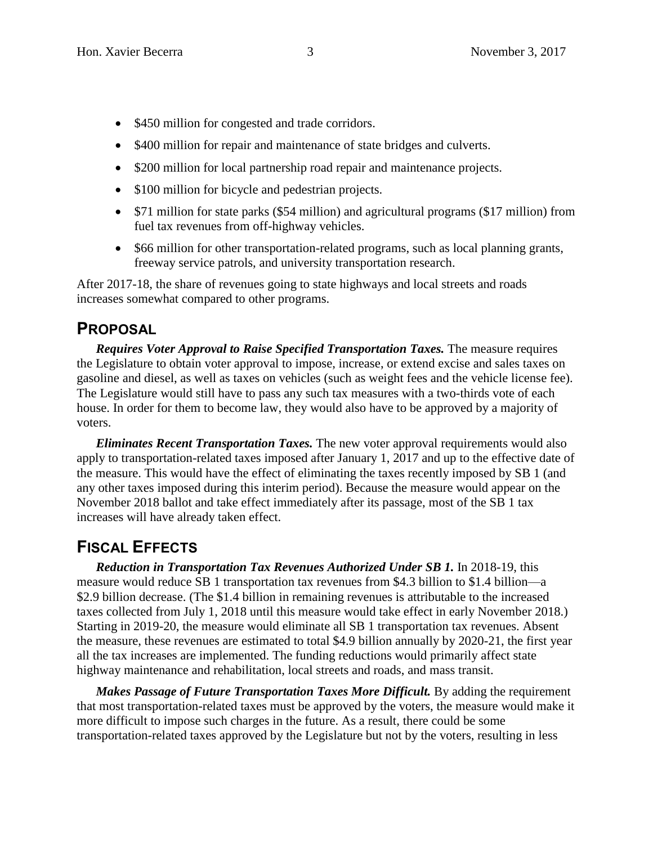- \$450 million for congested and trade corridors.
- \$400 million for repair and maintenance of state bridges and culverts.
- \$200 million for local partnership road repair and maintenance projects.
- \$100 million for bicycle and pedestrian projects.
- \$71 million for state parks (\$54 million) and agricultural programs (\$17 million) from fuel tax revenues from off-highway vehicles.
- \$66 million for other transportation-related programs, such as local planning grants, freeway service patrols, and university transportation research.

After 2017-18, the share of revenues going to state highways and local streets and roads increases somewhat compared to other programs.

## **PROPOSAL**

*Requires Voter Approval to Raise Specified Transportation Taxes.* The measure requires the Legislature to obtain voter approval to impose, increase, or extend excise and sales taxes on gasoline and diesel, as well as taxes on vehicles (such as weight fees and the vehicle license fee). The Legislature would still have to pass any such tax measures with a two-thirds vote of each house. In order for them to become law, they would also have to be approved by a majority of voters.

*Eliminates Recent Transportation Taxes.* The new voter approval requirements would also apply to transportation-related taxes imposed after January 1, 2017 and up to the effective date of the measure. This would have the effect of eliminating the taxes recently imposed by SB 1 (and any other taxes imposed during this interim period). Because the measure would appear on the November 2018 ballot and take effect immediately after its passage, most of the SB 1 tax increases will have already taken effect.

# **FISCAL EFFECTS**

*Reduction in Transportation Tax Revenues Authorized Under SB 1.* In 2018-19, this measure would reduce SB 1 transportation tax revenues from \$4.3 billion to \$1.4 billion—a \$2.9 billion decrease. (The \$1.4 billion in remaining revenues is attributable to the increased taxes collected from July 1, 2018 until this measure would take effect in early November 2018.) Starting in 2019-20, the measure would eliminate all SB 1 transportation tax revenues. Absent the measure, these revenues are estimated to total \$4.9 billion annually by 2020-21, the first year all the tax increases are implemented. The funding reductions would primarily affect state highway maintenance and rehabilitation, local streets and roads, and mass transit.

*Makes Passage of Future Transportation Taxes More Difficult.* By adding the requirement that most transportation-related taxes must be approved by the voters, the measure would make it more difficult to impose such charges in the future. As a result, there could be some transportation-related taxes approved by the Legislature but not by the voters, resulting in less